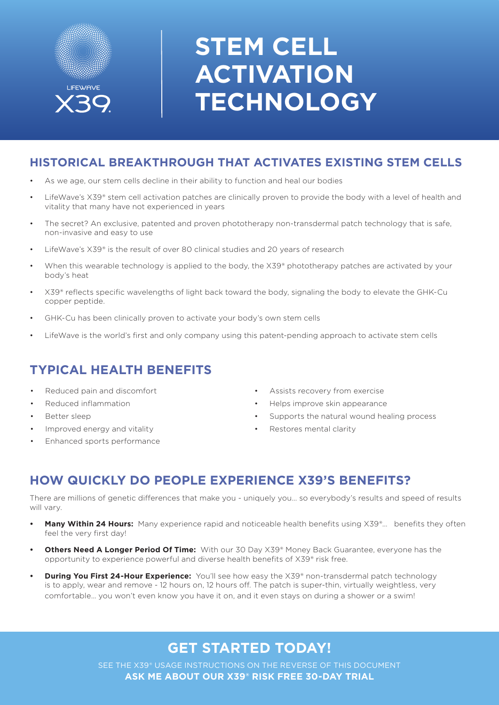

# **STEM CELL ACTIVATION TECHNOLOGY**

#### **HISTORICAL BREAKTHROUGH THAT ACTIVATES EXISTING STEM CELLS**

- As we age, our stem cells decline in their ability to function and heal our bodies
- LifeWave's X39® stem cell activation patches are clinically proven to provide the body with a level of health and vitality that many have not experienced in years
- The secret? An exclusive, patented and proven phototherapy non-transdermal patch technology that is safe, non-invasive and easy to use
- LifeWave's X39® is the result of over 80 clinical studies and 20 years of research
- When this wearable technology is applied to the body, the X39® phototherapy patches are activated by your body's heat
- X39® reflects specific wavelengths of light back toward the body, signaling the body to elevate the GHK-Cu copper peptide.
- GHK-Cu has been clinically proven to activate your body's own stem cells
- LifeWave is the world's first and only company using this patent-pending approach to activate stem cells

## **TYPICAL HEALTH BENEFITS**

- Reduced pain and discomfort
- Reduced inflammation
- Better sleep
- Improved energy and vitality
- Enhanced sports performance
- Assists recovery from exercise
- Helps improve skin appearance
- Supports the natural wound healing process
- Restores mental clarity

#### **HOW QUICKLY DO PEOPLE EXPERIENCE X39'S BENEFITS?**

There are millions of genetic differences that make you - uniquely you… so everybody's results and speed of results will vary.

- **Many Within 24 Hours:** Many experience rapid and noticeable health benefits using X39®... benefits they often feel the very first day!
- **• Others Need A Longer Period Of Time:** With our 30 Day X39® Money Back Guarantee, everyone has the opportunity to experience powerful and diverse health benefits of X39® risk free.
- **Puring You First 24-Hour Experience:** You'll see how easy the X39® non-transdermal patch technology is to apply, wear and remove - 12 hours on, 12 hours off. The patch is super-thin, virtually weightless, very comfortable… you won't even know you have it on, and it even stays on during a shower or a swim!

## **GET STARTED TODAY!**

SEE THE X39® USAGE INSTRUCTIONS ON THE REVERSE OF THIS DOCUMENT **ASK ME ABOUT OUR X39® RISK FREE 30-DAY TRIAL**